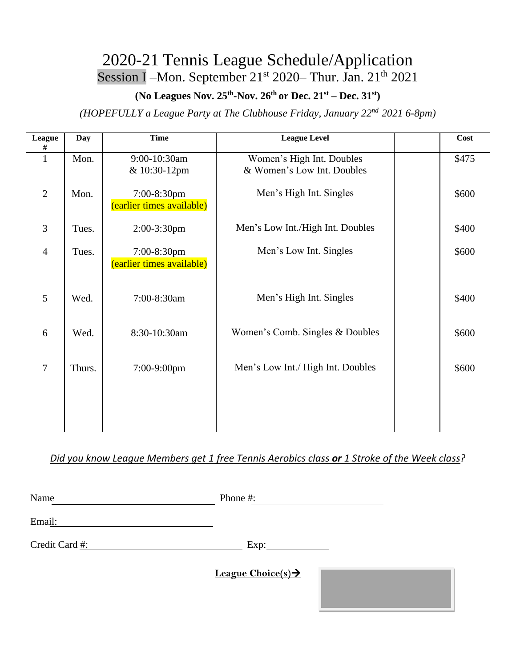## 2020-21 Tennis League Schedule/Application Session I – Mon. September 21<sup>st</sup> 2020 – Thur. Jan. 21<sup>th</sup> 2021

#### (No Leagues Nov. 25<sup>th</sup>-Nov. 26<sup>th</sup> or Dec. 21<sup>st</sup> – Dec. 31<sup>st</sup>)

*(HOPEFULLY a League Party at The Clubhouse Friday, January 22nd 2021 6-8pm)*

| League<br>#    | Day    | <b>Time</b>                              | <b>League Level</b>                                     | Cost  |
|----------------|--------|------------------------------------------|---------------------------------------------------------|-------|
| $\mathbf{1}$   | Mon.   | 9:00-10:30am<br>& 10:30-12pm             | Women's High Int. Doubles<br>& Women's Low Int. Doubles | \$475 |
| $\overline{2}$ | Mon.   | 7:00-8:30pm<br>(earlier times available) | Men's High Int. Singles                                 | \$600 |
| 3              | Tues.  | 2:00-3:30pm                              | Men's Low Int./High Int. Doubles                        | \$400 |
| $\overline{4}$ | Tues.  | 7:00-8:30pm<br>(earlier times available) | Men's Low Int. Singles                                  | \$600 |
| 5              | Wed.   | 7:00-8:30am                              | Men's High Int. Singles                                 | \$400 |
| 6              | Wed.   | 8:30-10:30am                             | Women's Comb. Singles & Doubles                         | \$600 |
| $\overline{7}$ | Thurs. | 7:00-9:00pm                              | Men's Low Int./ High Int. Doubles                       | \$600 |
|                |        |                                          |                                                         |       |
|                |        |                                          |                                                         |       |

*Did you know League Members get 1 free Tennis Aerobics class or 1 Stroke of the Week class?*

| Name           | Phone #:                       |  |
|----------------|--------------------------------|--|
| Email:         |                                |  |
| Credit Card #: | Exp:                           |  |
|                | League Choice(s) $\rightarrow$ |  |